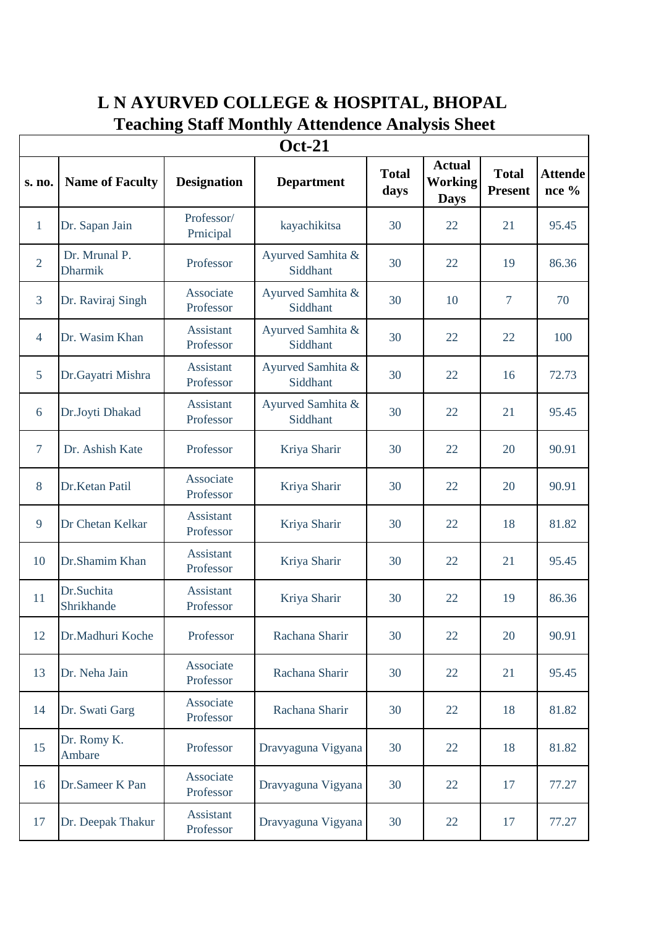## **L N AYURVED COLLEGE & HOSPITAL, BHOPAL Teaching Staff Monthly Attendence Analysis Sheet**

| <b>Oct-21</b>  |                                 |                               |                               |                      |                                                |                                |                         |  |
|----------------|---------------------------------|-------------------------------|-------------------------------|----------------------|------------------------------------------------|--------------------------------|-------------------------|--|
| s. no.         | <b>Name of Faculty</b>          | <b>Designation</b>            | <b>Department</b>             | <b>Total</b><br>days | <b>Actual</b><br><b>Working</b><br><b>Days</b> | <b>Total</b><br><b>Present</b> | <b>Attende</b><br>nce % |  |
| $\mathbf{1}$   | Dr. Sapan Jain                  | Professor/<br>Prnicipal       | kayachikitsa                  | 30                   | 22                                             | 21                             | 95.45                   |  |
| $\overline{2}$ | Dr. Mrunal P.<br><b>Dharmik</b> | Professor                     | Ayurved Samhita &<br>Siddhant | 30                   | 22                                             | 19                             | 86.36                   |  |
| $\overline{3}$ | Dr. Raviraj Singh               | Associate<br>Professor        | Ayurved Samhita &<br>Siddhant | 30                   | 10                                             | 7                              | 70                      |  |
| $\overline{4}$ | Dr. Wasim Khan                  | Assistant<br>Professor        | Ayurved Samhita &<br>Siddhant | 30                   | 22                                             | 22                             | 100                     |  |
| 5              | Dr.Gayatri Mishra               | Assistant<br>Professor        | Ayurved Samhita &<br>Siddhant | 30                   | 22                                             | 16                             | 72.73                   |  |
| 6              | Dr.Joyti Dhakad                 | Assistant<br>Professor        | Ayurved Samhita &<br>Siddhant | 30                   | 22                                             | 21                             | 95.45                   |  |
| $\overline{7}$ | Dr. Ashish Kate                 | Professor                     | Kriya Sharir                  | 30                   | 22                                             | 20                             | 90.91                   |  |
| 8              | Dr.Ketan Patil                  | Associate<br>Professor        | Kriya Sharir                  | 30                   | 22                                             | 20                             | 90.91                   |  |
| 9              | Dr Chetan Kelkar                | <b>Assistant</b><br>Professor | Kriya Sharir                  | 30                   | 22                                             | 18                             | 81.82                   |  |
| 10             | Dr.Shamim Khan                  | Assistant<br>Professor        | Kriya Sharir                  | 30                   | 22                                             | 21                             | 95.45                   |  |
| 11             | Dr.Suchita<br>Shrikhande        | <b>Assistant</b><br>Professor | Kriya Sharir                  | 30                   | 22                                             | 19                             | 86.36                   |  |
| 12             | Dr.Madhuri Koche                | Professor                     | Rachana Sharir                | 30                   | 22                                             | 20                             | 90.91                   |  |
| 13             | Dr. Neha Jain                   | Associate<br>Professor        | Rachana Sharir                | 30                   | 22                                             | 21                             | 95.45                   |  |
| 14             | Dr. Swati Garg                  | Associate<br>Professor        | Rachana Sharir                | 30                   | 22                                             | 18                             | 81.82                   |  |
| 15             | Dr. Romy K.<br>Ambare           | Professor                     | Dravyaguna Vigyana            | 30                   | 22                                             | 18                             | 81.82                   |  |
| 16             | Dr.Sameer K Pan                 | Associate<br>Professor        | Dravyaguna Vigyana            | 30                   | 22                                             | 17                             | 77.27                   |  |
| 17             | Dr. Deepak Thakur               | Assistant<br>Professor        | Dravyaguna Vigyana            | 30                   | 22                                             | 17                             | 77.27                   |  |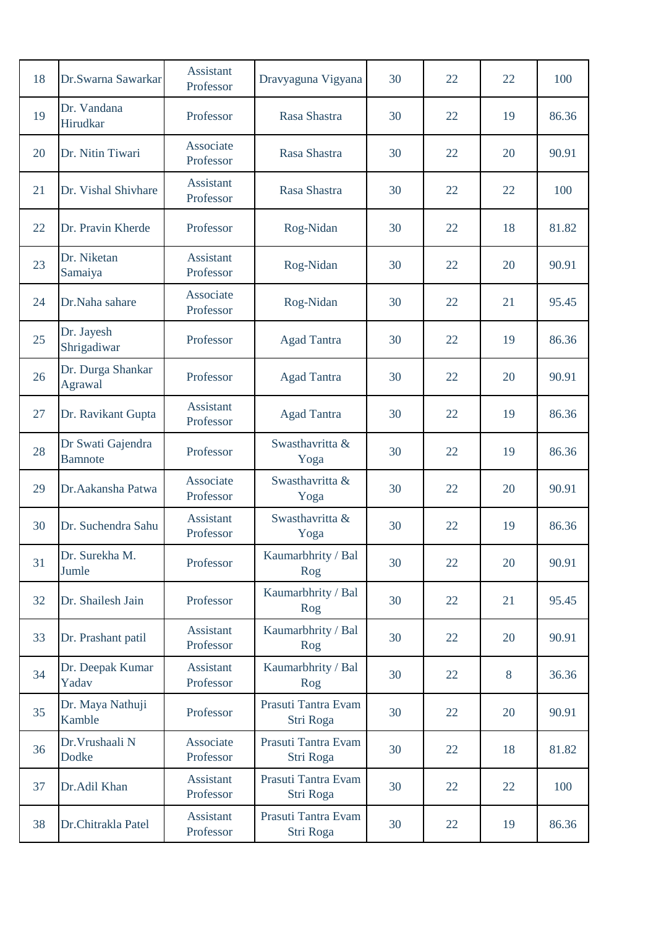| 18 | Dr.Swarna Sawarkar                  | <b>Assistant</b><br>Professor | Dravyaguna Vigyana               | 30 | 22 | 22 | 100   |
|----|-------------------------------------|-------------------------------|----------------------------------|----|----|----|-------|
| 19 | Dr. Vandana<br>Hirudkar             | Professor                     | Rasa Shastra                     | 30 | 22 | 19 | 86.36 |
| 20 | Dr. Nitin Tiwari                    | Associate<br>Professor        | Rasa Shastra                     | 30 | 22 | 20 | 90.91 |
| 21 | Dr. Vishal Shivhare                 | Assistant<br>Professor        | Rasa Shastra                     | 30 | 22 | 22 | 100   |
| 22 | Dr. Pravin Kherde                   | Professor                     | Rog-Nidan                        | 30 | 22 | 18 | 81.82 |
| 23 | Dr. Niketan<br>Samaiya              | Assistant<br>Professor        | Rog-Nidan                        | 30 | 22 | 20 | 90.91 |
| 24 | Dr.Naha sahare                      | Associate<br>Professor        | Rog-Nidan                        | 30 | 22 | 21 | 95.45 |
| 25 | Dr. Jayesh<br>Shrigadiwar           | Professor                     | <b>Agad Tantra</b>               | 30 | 22 | 19 | 86.36 |
| 26 | Dr. Durga Shankar<br>Agrawal        | Professor                     | <b>Agad Tantra</b>               | 30 | 22 | 20 | 90.91 |
| 27 | Dr. Ravikant Gupta                  | <b>Assistant</b><br>Professor | <b>Agad Tantra</b>               | 30 | 22 | 19 | 86.36 |
| 28 | Dr Swati Gajendra<br><b>Bamnote</b> | Professor                     | Swasthavritta &<br>Yoga          | 30 | 22 | 19 | 86.36 |
| 29 | Dr. Aakansha Patwa                  | Associate<br>Professor        | Swasthavritta &<br>Yoga          | 30 | 22 | 20 | 90.91 |
| 30 | Dr. Suchendra Sahu                  | Assistant<br>Professor        | Swasthavritta &<br>Yoga          | 30 | 22 | 19 | 86.36 |
| 31 | Dr. Surekha M.<br>Jumle             | Professor                     | Kaumarbhrity / Bal<br>Rog        | 30 | 22 | 20 | 90.91 |
| 32 | Dr. Shailesh Jain                   | Professor                     | Kaumarbhrity / Bal<br>Rog        | 30 | 22 | 21 | 95.45 |
| 33 | Dr. Prashant patil                  | Assistant<br>Professor        | Kaumarbhrity / Bal<br>Rog        | 30 | 22 | 20 | 90.91 |
| 34 | Dr. Deepak Kumar<br>Yadav           | Assistant<br>Professor        | Kaumarbhrity / Bal<br>Rog        | 30 | 22 | 8  | 36.36 |
| 35 | Dr. Maya Nathuji<br>Kamble          | Professor                     | Prasuti Tantra Evam<br>Stri Roga | 30 | 22 | 20 | 90.91 |
| 36 | Dr. Vrushaali N<br>Dodke            | Associate<br>Professor        | Prasuti Tantra Evam<br>Stri Roga | 30 | 22 | 18 | 81.82 |
| 37 | Dr.Adil Khan                        | Assistant<br>Professor        | Prasuti Tantra Evam<br>Stri Roga | 30 | 22 | 22 | 100   |
| 38 | Dr.Chitrakla Patel                  | Assistant<br>Professor        | Prasuti Tantra Evam<br>Stri Roga | 30 | 22 | 19 | 86.36 |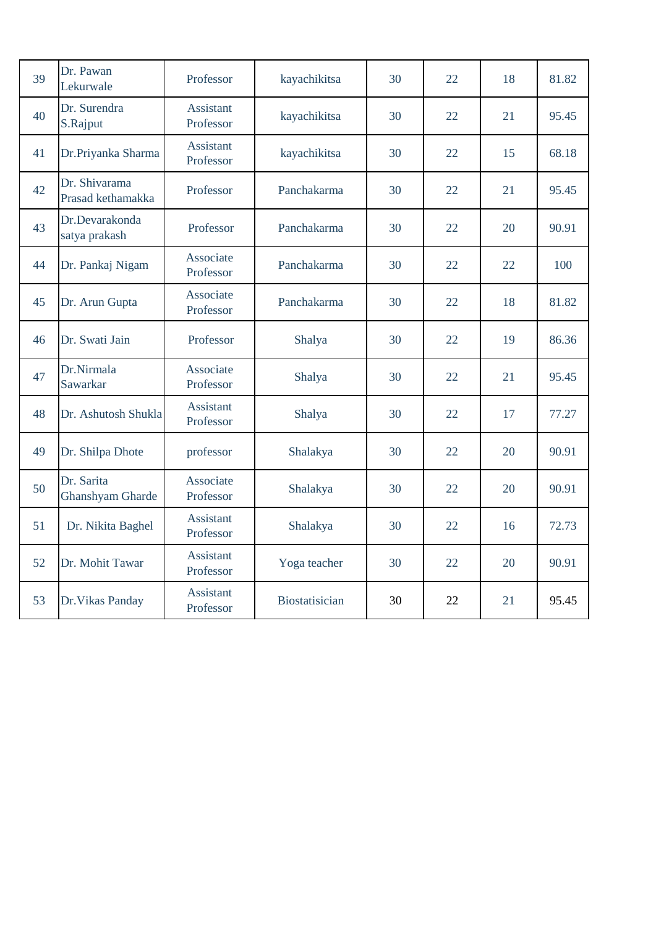| 39 | Dr. Pawan<br>Lekurwale                | Professor                     | kayachikitsa   | 30 | 22 | 18 | 81.82 |
|----|---------------------------------------|-------------------------------|----------------|----|----|----|-------|
| 40 | Dr. Surendra<br>S.Rajput              | <b>Assistant</b><br>Professor | kayachikitsa   | 30 | 22 | 21 | 95.45 |
| 41 | Dr.Priyanka Sharma                    | Assistant<br>Professor        | kayachikitsa   | 30 | 22 | 15 | 68.18 |
| 42 | Dr. Shivarama<br>Prasad kethamakka    | Professor                     | Panchakarma    | 30 | 22 | 21 | 95.45 |
| 43 | Dr.Devarakonda<br>satya prakash       | Professor                     | Panchakarma    | 30 | 22 | 20 | 90.91 |
| 44 | Dr. Pankaj Nigam                      | Associate<br>Professor        | Panchakarma    | 30 | 22 | 22 | 100   |
| 45 | Dr. Arun Gupta                        | Associate<br>Professor        | Panchakarma    | 30 | 22 | 18 | 81.82 |
| 46 | Dr. Swati Jain                        | Professor                     | Shalya         | 30 | 22 | 19 | 86.36 |
| 47 | Dr.Nirmala<br>Sawarkar                | Associate<br>Professor        | Shalya         | 30 | 22 | 21 | 95.45 |
| 48 | Dr. Ashutosh Shukla                   | <b>Assistant</b><br>Professor | Shalya         | 30 | 22 | 17 | 77.27 |
| 49 | Dr. Shilpa Dhote                      | professor                     | Shalakya       | 30 | 22 | 20 | 90.91 |
| 50 | Dr. Sarita<br><b>Ghanshyam Gharde</b> | Associate<br>Professor        | Shalakya       | 30 | 22 | 20 | 90.91 |
| 51 | Dr. Nikita Baghel                     | <b>Assistant</b><br>Professor | Shalakya       | 30 | 22 | 16 | 72.73 |
| 52 | Dr. Mohit Tawar                       | <b>Assistant</b><br>Professor | Yoga teacher   | 30 | 22 | 20 | 90.91 |
| 53 | Dr. Vikas Panday                      | <b>Assistant</b><br>Professor | Biostatisician | 30 | 22 | 21 | 95.45 |